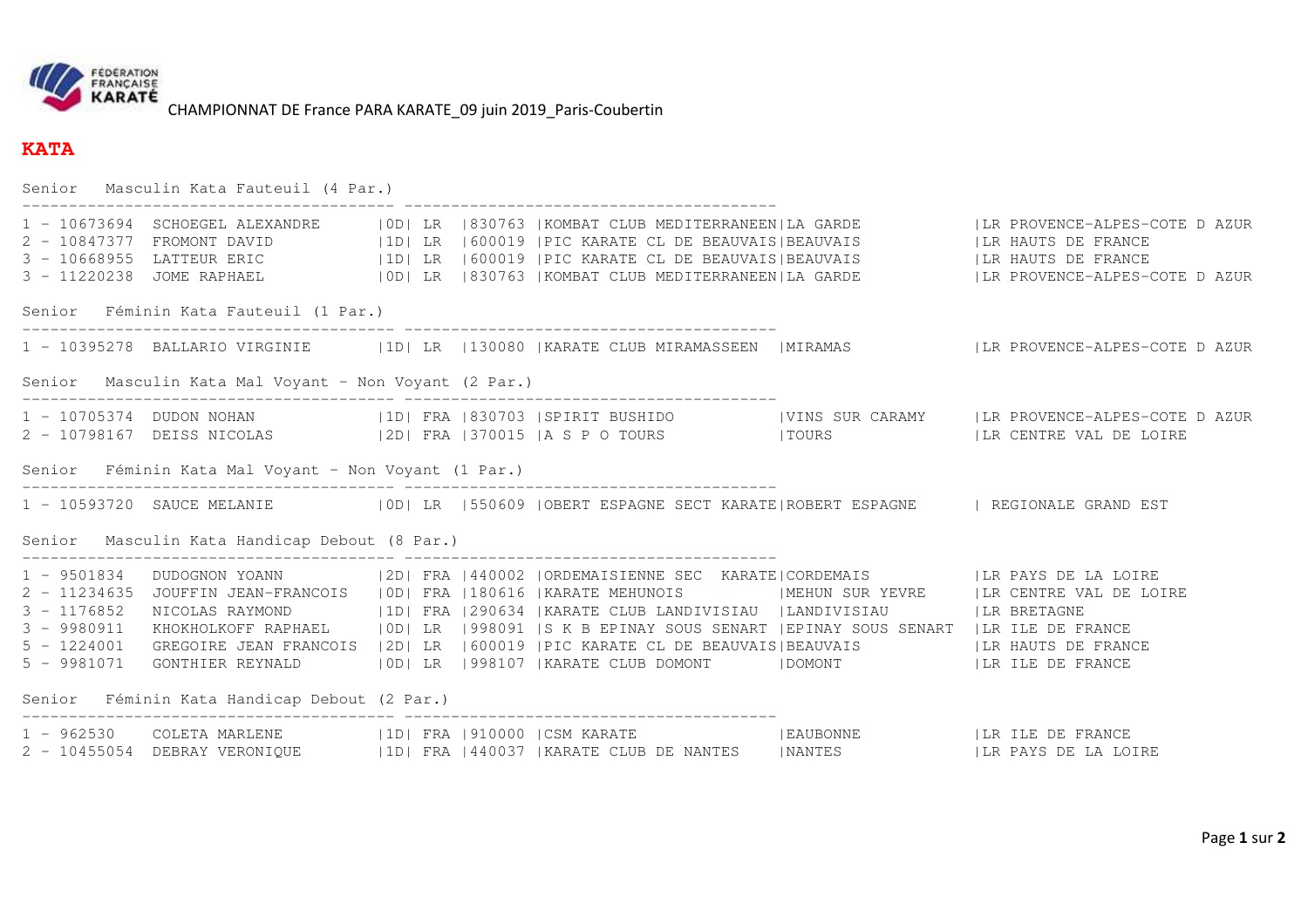

CHAMPIONNAT DE France PARA KARATE\_09 juin 2019\_Paris-Coubertin

## **KATA**

|                                                                                  | Senior Masculin Kata Fauteuil (4 Par.)                                              |  |  |  |                                                                                                                                                                                                                                                                                                                                                                                                                                                                                                                                                                                   |  |                                                                                                                                                                                                                    |
|----------------------------------------------------------------------------------|-------------------------------------------------------------------------------------|--|--|--|-----------------------------------------------------------------------------------------------------------------------------------------------------------------------------------------------------------------------------------------------------------------------------------------------------------------------------------------------------------------------------------------------------------------------------------------------------------------------------------------------------------------------------------------------------------------------------------|--|--------------------------------------------------------------------------------------------------------------------------------------------------------------------------------------------------------------------|
|                                                                                  | 3 - 11220238 JOME RAPHAEL                                                           |  |  |  | 2 - 10847377 FROMONT DAVID<br>3 - 10668955 LATTEUR ERIC (ID  LR   600019   PIC KARATE CL DE BEAUVAIS BEAUVAIS (ILR HAUTS DE FRANCE                                                                                                                                                                                                                                                                                                                                                                                                                                                |  | 1 - 10673694 SCHOEGEL ALEXANDRE   OD  LR   830763   KOMBAT CLUB MEDITERRANEEN  LA GARDE   LR PROVENCE-ALPES-COTE DAZUR<br>  OD   LR   830763   KOMBAT CLUB MEDITERRANEEN   LA GARDE   LA PROVENCE-ALPES-COTE DAZUR |
|                                                                                  | Senior Féminin Kata Fauteuil (1 Par.)                                               |  |  |  |                                                                                                                                                                                                                                                                                                                                                                                                                                                                                                                                                                                   |  |                                                                                                                                                                                                                    |
|                                                                                  |                                                                                     |  |  |  |                                                                                                                                                                                                                                                                                                                                                                                                                                                                                                                                                                                   |  | 1 - 10395278 BALLARIO VIRGINIE   10   LR   130080   KARATE CLUB MIRAMASSEEN   MIRAMAS   KRIP PROVENCE-ALPES-COTE DAZUR                                                                                             |
| Senior Masculin Kata Mal Voyant - Non Voyant (2 Par.)                            |                                                                                     |  |  |  |                                                                                                                                                                                                                                                                                                                                                                                                                                                                                                                                                                                   |  |                                                                                                                                                                                                                    |
|                                                                                  |                                                                                     |  |  |  | 2 - 10798167 DEISS NICOLAS (2D) FRA 370015   A S P O TOURS   TOURS   LR CENTRE VAL DE LOIRE                                                                                                                                                                                                                                                                                                                                                                                                                                                                                       |  | 1 - 10705374 DUDON NOHAN   1D  FRA   830703   SPIRIT BUSHIDO     VINS SUR CARAMY   LR PROVENCE-ALPES-COTE DAZUR                                                                                                    |
|                                                                                  | Senior Féminin Kata Mal Voyant - Non Voyant (1 Par.)                                |  |  |  |                                                                                                                                                                                                                                                                                                                                                                                                                                                                                                                                                                                   |  |                                                                                                                                                                                                                    |
|                                                                                  |                                                                                     |  |  |  | 1 - 10593720 SAUCE MELANIE   OD  LR   550609   OBERT ESPAGNE SECT KARATE   ROBERT ESPAGNE   REGIONALE GRAND EST                                                                                                                                                                                                                                                                                                                                                                                                                                                                   |  |                                                                                                                                                                                                                    |
| Senior Masculin Kata Handicap Debout (8 Par.)                                    |                                                                                     |  |  |  |                                                                                                                                                                                                                                                                                                                                                                                                                                                                                                                                                                                   |  |                                                                                                                                                                                                                    |
| $2 - 11234635$<br>$3 - 1176852$<br>3 - 9980911<br>$5 - 1224001$<br>$5 - 9981071$ | NICOLAS RAYMOND<br>GONTHIER REYNALD<br>Senior Féminin Kata Handicap Debout (2 Par.) |  |  |  | 1 - 9501834 DUDOGNON YOANN   2D  FRA   440002   ORDEMAISIENNE SEC KARATE  CORDEMAIS   LR PAYS DE LA LOIRE<br>JOUFFIN JEAN-FRANCOIS (OD) FRA 1180616  KARATE MEHUNOIS (NEHUN SUR YEVRE ) LR CENTRE VAL DE LOIRE<br> 1D  FRA  290634  KARATE CLUB LANDIVISIAU  LANDIVISIAU    LR BRETAGNE<br>KHOKHOLKOFF RAPHAEL   OD  LR   998091   S K B EPINAY SOUS SENART   EPINAY SOUS SENART   LR ILE DE FRANCE<br>GREGOIRE JEAN FRANCOIS   2D   LR   600019   PIC KARATE CL DE BEAUVAIS   BEAUVAIS   LA HAUTS DE FRANCE<br> OD  LR  998107  KARATE CLUB DOMONT    DOMONT    LR ILE DE FRANCE |  |                                                                                                                                                                                                                    |
|                                                                                  |                                                                                     |  |  |  |                                                                                                                                                                                                                                                                                                                                                                                                                                                                                                                                                                                   |  |                                                                                                                                                                                                                    |
|                                                                                  |                                                                                     |  |  |  | 1 - 962530 COLETA MARLENE   1D   FRA   910000   CSM KARATE     LAUBONNE   LA LE DE FRANCE<br>2 - 10455054 DEBRAY VERONIQUE   1D  FRA   440037   KARATE CLUB DE NANTES   NANTES   LE PAYS DE LA LOIRE                                                                                                                                                                                                                                                                                                                                                                              |  |                                                                                                                                                                                                                    |